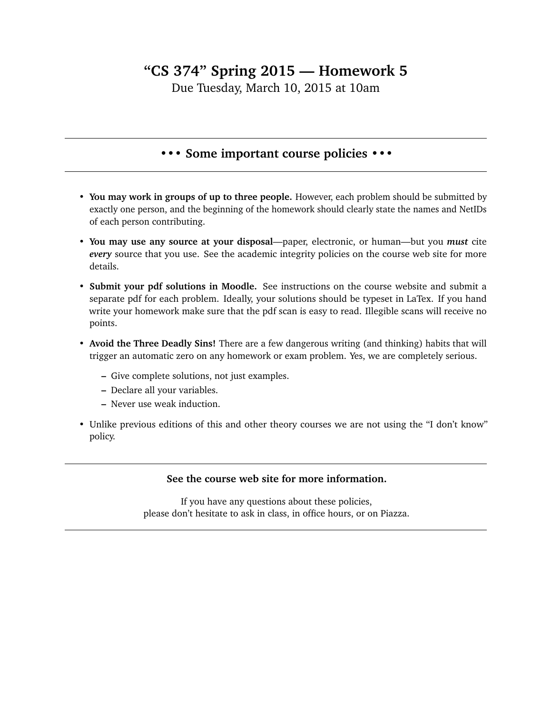## **"CS 374" Spring 2015 — Homework 5**

Due Tuesday, March 10, 2015 at 10am

## **••• Some important course policies •••**

- **You may work in groups of up to three people.** However, each problem should be submitted by exactly one person, and the beginning of the homework should clearly state the names and NetIDs of each person contributing.
- **You may use any source at your disposal**—paper, electronic, or human—but you *must* cite *every* source that you use. See the academic integrity policies on the course web site for more details.
- **Submit your pdf solutions in Moodle.** See instructions on the course website and submit a separate pdf for each problem. Ideally, your solutions should be typeset in LaTex. If you hand write your homework make sure that the pdf scan is easy to read. Illegible scans will receive no points.
- **Avoid the Three Deadly Sins!** There are a few dangerous writing (and thinking) habits that will trigger an automatic zero on any homework or exam problem. Yes, we are completely serious.
	- **–** Give complete solutions, not just examples.
	- **–** Declare all your variables.
	- **–** Never use weak induction.
- Unlike previous editions of this and other theory courses we are not using the "I don't know" policy.

## **See the course web site for more information.**

If you have any questions about these policies, please don't hesitate to ask in class, in office hours, or on Piazza.